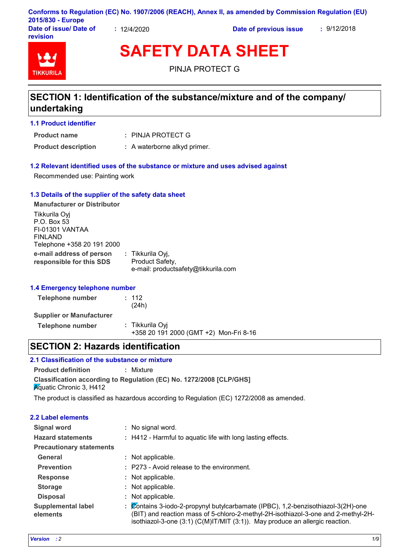|                                           |           | Conforms to Regulation (EC) No. 1907/2006 (REACH), Annex II, as amended by Commission Regulation (EU) |             |
|-------------------------------------------|-----------|-------------------------------------------------------------------------------------------------------|-------------|
| 2015/830 - Europe                         |           |                                                                                                       |             |
| Date of issue/ Date of<br><b>revision</b> | 12/4/2020 | Date of previous issue                                                                                | : 9/12/2018 |

# **TIKKURIL**

**SAFETY DATA SHEET**

PINJA PROTECT G

## **SECTION 1: Identification of the substance/mixture and of the company/ undertaking**

#### **1.1 Product identifier**

**Product name**

PINJA PROTECT G **:**

**Product description :** A waterborne alkyd primer.

#### **1.2 Relevant identified uses of the substance or mixture and uses advised against**

Recommended use: Painting work

#### **1.3 Details of the supplier of the safety data sheet**

**e-mail address of person responsible for this SDS :** Tikkurila Oyj, Product Safety, e-mail: productsafety@tikkurila.com **Manufacturer or Distributor** Tikkurila Oyj P.O. Box 53 FI-01301 VANTAA FINLAND Telephone +358 20 191 2000

#### **1.4 Emergency telephone number**

| Telephone number                | : 112<br>(24h)                                            |  |
|---------------------------------|-----------------------------------------------------------|--|
| <b>Supplier or Manufacturer</b> |                                                           |  |
| Telephone number                | : Tikkurila Oyi<br>+358 20 191 2000 (GMT +2) Mon-Fri 8-16 |  |

## **SECTION 2: Hazards identification**

## **2.1 Classification of the substance or mixture**

**Product definition :** Mixture

**Classification according to Regulation (EC) No. 1272/2008 [CLP/GHS] Aguatic Chronic 3, H412** 

The product is classified as hazardous according to Regulation (EC) 1272/2008 as amended.

| 2.2 Label elements                    |                                                                                                                                                                                                                                                          |
|---------------------------------------|----------------------------------------------------------------------------------------------------------------------------------------------------------------------------------------------------------------------------------------------------------|
| Signal word                           | No signal word.                                                                                                                                                                                                                                          |
| <b>Hazard statements</b>              | : H412 - Harmful to aquatic life with long lasting effects.                                                                                                                                                                                              |
| <b>Precautionary statements</b>       |                                                                                                                                                                                                                                                          |
| General                               | Not applicable.                                                                                                                                                                                                                                          |
| <b>Prevention</b>                     | : P273 - Avoid release to the environment.                                                                                                                                                                                                               |
| <b>Response</b>                       | : Not applicable.                                                                                                                                                                                                                                        |
| <b>Storage</b>                        | Not applicable.                                                                                                                                                                                                                                          |
| <b>Disposal</b>                       | Not applicable.<br>t.                                                                                                                                                                                                                                    |
| <b>Supplemental label</b><br>elements | Contains 3-iodo-2-propynyl butylcarbamate (IPBC), 1,2-benzisothiazol-3(2H)-one<br>(BIT) and reaction mass of 5-chloro-2-methyl-2H-isothiazol-3-one and 2-methyl-2H-<br>isothiazol-3-one $(3:1)$ (C(M)IT/MIT $(3:1)$ ). May produce an allergic reaction. |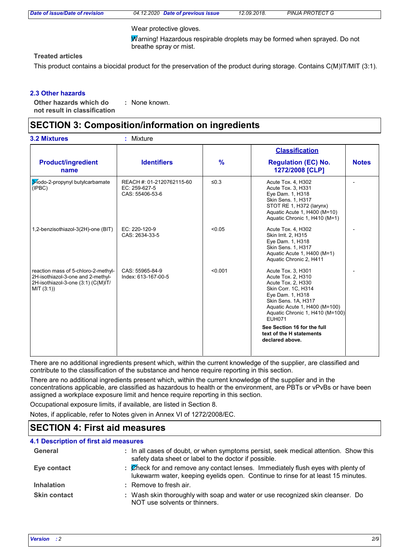|  | Date of issue/Date of revision |  |
|--|--------------------------------|--|
|--|--------------------------------|--|

*Date of issue/Date of revision 04.12.2020 Date of previous issue 12.09.2018. PINJA PROTECT G*

Wear protective gloves.

Warning! Hazardous respirable droplets may be formed when sprayed. Do not breathe spray or mist.

### **Treated articles**

This product contains a biocidal product for the preservation of the product during storage. Contains C(M)IT/MIT (3:1).

#### **2.3 Other hazards**

**Other hazards which do : not result in classification** : None known.

## **SECTION 3: Composition/information on ingredients**

|                                                                                                                              |                                                               |            | <b>Classification</b>                                                                                                                                                                                                                                                                               |              |  |
|------------------------------------------------------------------------------------------------------------------------------|---------------------------------------------------------------|------------|-----------------------------------------------------------------------------------------------------------------------------------------------------------------------------------------------------------------------------------------------------------------------------------------------------|--------------|--|
| <b>Product/ingredient</b><br>name                                                                                            | <b>Identifiers</b>                                            | $\%$       | <b>Regulation (EC) No.</b><br>1272/2008 [CLP]                                                                                                                                                                                                                                                       | <b>Notes</b> |  |
| 3-lodo-2-propynyl butylcarbamate<br>(IPBC)                                                                                   | REACH #: 01-2120762115-60<br>EC: 259-627-5<br>CAS: 55406-53-6 | $\leq 0.3$ | Acute Tox. 4, H302<br>Acute Tox. 3, H331<br>Eye Dam. 1, H318<br><b>Skin Sens. 1, H317</b><br>STOT RE 1, H372 (larynx)<br>Aquatic Acute 1, H400 (M=10)<br>Aquatic Chronic 1, H410 (M=1)                                                                                                              |              |  |
| 1,2-benzisothiazol-3(2H)-one (BIT)                                                                                           | EC: 220-120-9<br>CAS: 2634-33-5                               | < 0.05     | Acute Tox. 4, H302<br>Skin Irrit. 2, H315<br>Eye Dam. 1, H318<br><b>Skin Sens. 1, H317</b><br>Aquatic Acute 1, H400 (M=1)<br>Aquatic Chronic 2, H411                                                                                                                                                |              |  |
| reaction mass of 5-chloro-2-methyl-<br>2H-isothiazol-3-one and 2-methyl-<br>2H-isothiazol-3-one (3:1) (C(M)IT/<br>MIT (3:1)) | CAS: 55965-84-9<br>Index: 613-167-00-5                        | < 0.001    | Acute Tox. 3, H301<br>Acute Tox. 2, H310<br>Acute Tox. 2, H330<br>Skin Corr. 1C, H314<br>Eye Dam. 1, H318<br>Skin Sens. 1A, H317<br>Aquatic Acute 1, H400 (M=100)<br>Aquatic Chronic 1, H410 (M=100)<br><b>EUH071</b><br>See Section 16 for the full<br>text of the H statements<br>declared above. |              |  |

There are no additional ingredients present which, within the current knowledge of the supplier, are classified and contribute to the classification of the substance and hence require reporting in this section.

There are no additional ingredients present which, within the current knowledge of the supplier and in the concentrations applicable, are classified as hazardous to health or the environment, are PBTs or vPvBs or have been assigned a workplace exposure limit and hence require reporting in this section.

Occupational exposure limits, if available, are listed in Section 8.

Notes, if applicable, refer to Notes given in Annex VI of 1272/2008/EC.

## **SECTION 4: First aid measures**

| <b>4.1 Description of first aid measures</b> |                                                                                                                                                                      |
|----------------------------------------------|----------------------------------------------------------------------------------------------------------------------------------------------------------------------|
| General                                      | : In all cases of doubt, or when symptoms persist, seek medical attention. Show this<br>safety data sheet or label to the doctor if possible.                        |
| Eye contact                                  | : Check for and remove any contact lenses. Immediately flush eyes with plenty of<br>lukewarm water, keeping eyelids open. Continue to rinse for at least 15 minutes. |
| <b>Inhalation</b>                            | : Remove to fresh air.                                                                                                                                               |
| <b>Skin contact</b>                          | : Wash skin thoroughly with soap and water or use recognized skin cleanser. Do<br>NOT use solvents or thinners.                                                      |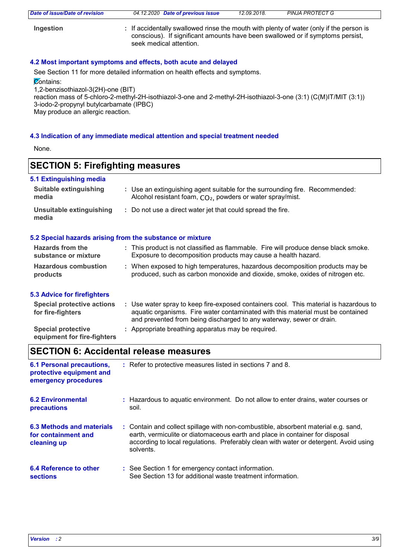| Date of issue/Date of revision | 04.12.2020 Date of previous issue                                                                                                                                                                    | 12.09.2018. | PINJA PROTECT G |
|--------------------------------|------------------------------------------------------------------------------------------------------------------------------------------------------------------------------------------------------|-------------|-----------------|
| Ingestion                      | : If accidentally swallowed rinse the mouth with plenty of water (only if the person is<br>conscious). If significant amounts have been swallowed or if symptoms persist,<br>seek medical attention. |             |                 |

#### **4.2 Most important symptoms and effects, both acute and delayed**

See Section 11 for more detailed information on health effects and symptoms.

**Contains:** 

1,2-benzisothiazol-3(2H)-one (BIT)

reaction mass of 5-chloro-2-methyl-2H-isothiazol-3-one and 2-methyl-2H-isothiazol-3-one (3:1) (C(M)IT/MIT (3:1)) 3-iodo-2-propynyl butylcarbamate (IPBC)

May produce an allergic reaction.

#### **4.3 Indication of any immediate medical attention and special treatment needed**

None.

## **SECTION 5: Firefighting measures**

#### **5.1 Extinguishing media**

| Suitable extinguishing<br>media                                                                  |                                                             | : Use an extinguishing agent suitable for the surrounding fire. Recommended:<br>Alcohol resistant foam, $CO2$ , powders or water spray/mist. |
|--------------------------------------------------------------------------------------------------|-------------------------------------------------------------|----------------------------------------------------------------------------------------------------------------------------------------------|
| Unsuitable extinguishing<br>media                                                                | : Do not use a direct water jet that could spread the fire. |                                                                                                                                              |
| 5.2 Special hazards arising from the substance or mixture<br>المتحالة المستحسنة المستحدث والبارز |                                                             |                                                                                                                                              |

#### **Hazards from the The Section Advisory** 10

| <b>Hazarus Irom the</b>     | . This product is not classified as illuminable. Fire will produce defise black smoke. |
|-----------------------------|----------------------------------------------------------------------------------------|
| substance or mixture        | Exposure to decomposition products may cause a health hazard.                          |
| <b>Hazardous combustion</b> | : When exposed to high temperatures, hazardous decomposition products may be           |
| products                    | produced, such as carbon monoxide and dioxide, smoke, oxides of nitrogen etc.          |

#### **5.3 Advice for firefighters**

| Special protective actions<br>for fire-fighters          | Use water spray to keep fire-exposed containers cool. This material is hazardous to<br>aquatic organisms. Fire water contaminated with this material must be contained<br>and prevented from being discharged to any waterway, sewer or drain. |
|----------------------------------------------------------|------------------------------------------------------------------------------------------------------------------------------------------------------------------------------------------------------------------------------------------------|
| <b>Special protective</b><br>equipment for fire-fighters | : Appropriate breathing apparatus may be required.                                                                                                                                                                                             |

## **SECTION 6: Accidental release measures**

| <b>6.1 Personal precautions,</b><br>protective equipment and<br>emergency procedures | : Refer to protective measures listed in sections 7 and 8.                                                                                                                                                                                                               |
|--------------------------------------------------------------------------------------|--------------------------------------------------------------------------------------------------------------------------------------------------------------------------------------------------------------------------------------------------------------------------|
| <b>6.2 Environmental</b><br><b>precautions</b>                                       | : Hazardous to aquatic environment. Do not allow to enter drains, water courses or<br>soil.                                                                                                                                                                              |
| 6.3 Methods and materials<br>for containment and<br>cleaning up                      | : Contain and collect spillage with non-combustible, absorbent material e.g. sand,<br>earth, vermiculite or diatomaceous earth and place in container for disposal<br>according to local regulations. Preferably clean with water or detergent. Avoid using<br>solvents. |
| 6.4 Reference to other<br><b>sections</b>                                            | : See Section 1 for emergency contact information.<br>See Section 13 for additional waste treatment information.                                                                                                                                                         |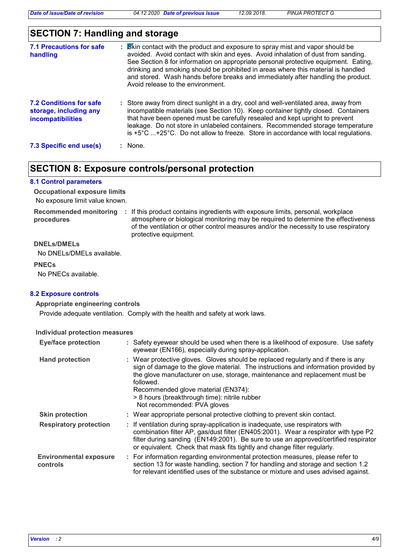*Date of issue/Date of revision 04.12.2020 Date of previous issue 12.09.2018. PINJA PROTECT G*

## **SECTION 7: Handling and storage**

| 7.1 Precautions for safe<br>handling                                          | : Skin contact with the product and exposure to spray mist and vapor should be<br>avoided. Avoid contact with skin and eyes. Avoid inhalation of dust from sanding.<br>See Section 8 for information on appropriate personal protective equipment. Eating,<br>drinking and smoking should be prohibited in areas where this material is handled<br>and stored. Wash hands before breaks and immediately after handling the product.<br>Avoid release to the environment. |  |
|-------------------------------------------------------------------------------|--------------------------------------------------------------------------------------------------------------------------------------------------------------------------------------------------------------------------------------------------------------------------------------------------------------------------------------------------------------------------------------------------------------------------------------------------------------------------|--|
| <b>7.2 Conditions for safe</b><br>storage, including any<br>incompatibilities | : Store away from direct sunlight in a dry, cool and well-ventilated area, away from<br>incompatible materials (see Section 10). Keep container tightly closed. Containers<br>that have been opened must be carefully resealed and kept upright to prevent<br>leakage. Do not store in unlabeled containers. Recommended storage temperature<br>is $+5^{\circ}$ C +25°C. Do not allow to freeze. Store in accordance with local regulations.                             |  |
| 7.3 Specific end use(s)                                                       | $:$ None.                                                                                                                                                                                                                                                                                                                                                                                                                                                                |  |

## **SECTION 8: Exposure controls/personal protection**

#### **8.1 Control parameters**

No exposure limit value known. **Occupational exposure limits**

**procedures**

**Recommended monitoring**  If this product contains ingredients with exposure limits, personal, workplace **:** atmosphere or biological monitoring may be required to determine the effectiveness of the ventilation or other control measures and/or the necessity to use respiratory protective equipment.

#### **DNELs/DMELs**

No DNELs/DMELs available.

**PNECs**

No PNECs available.

#### **8.2 Exposure controls**

#### **Appropriate engineering controls**

Provide adequate ventilation. Comply with the health and safety at work laws.

#### **Individual protection measures**

| <b>Eye/face protection</b>                |                                                                                                                                                                                                                                                                                                                                                                                            | : Safety eyewear should be used when there is a likelihood of exposure. Use safety<br>eyewear (EN166), especially during spray-application.                                                                                                                                                                                             |  |
|-------------------------------------------|--------------------------------------------------------------------------------------------------------------------------------------------------------------------------------------------------------------------------------------------------------------------------------------------------------------------------------------------------------------------------------------------|-----------------------------------------------------------------------------------------------------------------------------------------------------------------------------------------------------------------------------------------------------------------------------------------------------------------------------------------|--|
| <b>Hand protection</b>                    | : Wear protective gloves. Gloves should be replaced regularly and if there is any<br>sign of damage to the glove material. The instructions and information provided by<br>the glove manufacturer on use, storage, maintenance and replacement must be<br>followed.<br>Recommended glove material (EN374):<br>> 8 hours (breakthrough time): nitrile rubber<br>Not recommended: PVA gloves |                                                                                                                                                                                                                                                                                                                                         |  |
| <b>Skin protection</b>                    |                                                                                                                                                                                                                                                                                                                                                                                            | : Wear appropriate personal protective clothing to prevent skin contact.                                                                                                                                                                                                                                                                |  |
| <b>Respiratory protection</b>             |                                                                                                                                                                                                                                                                                                                                                                                            | : If ventilation during spray-application is inadequate, use respirators with<br>combination filter AP, gas/dust filter (EN405:2001). Wear a respirator with type P2<br>filter during sanding (EN149:2001). Be sure to use an approved/certified respirator<br>or equivalent. Check that mask fits tightly and change filter regularly. |  |
| <b>Environmental exposure</b><br>controls |                                                                                                                                                                                                                                                                                                                                                                                            | : For information regarding environmental protection measures, please refer to<br>section 13 for waste handling, section 7 for handling and storage and section 1.2<br>for relevant identified uses of the substance or mixture and uses advised against.                                                                               |  |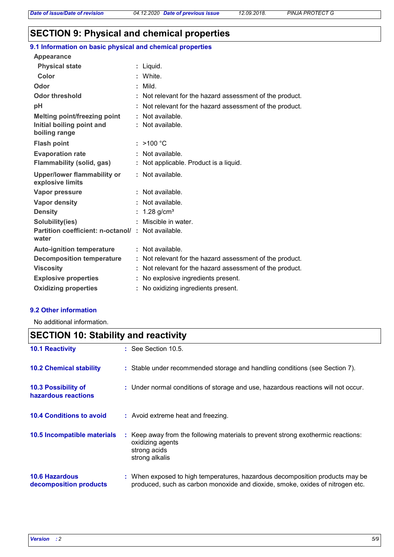## **SECTION 9: Physical and chemical properties**

#### : Not available. **Physical state Melting point/freezing point Initial boiling point and boiling range Vapor pressure Density Vapor density Solubility(ies)** Liquid. **:** : Not available. : 1.28 g/cm<sup>3</sup> Not available. **:** Not available. **: Odor** : Mild. **pH Color** : White. **Evaporation rate Auto-ignition temperature Flash point** Not available. **:** >100 °C **:** : Not available. No explosive ingredients present. **: Partition coefficient: n-octanol/ : Not available.** Not relevant for the hazard assessment of the product. **: Viscosity Not relevant for the hazard assessment of the product.** The state of the product. **Odor threshold Not relevant for the hazard assessment of the product. water Upper/lower flammability or explosive limits Explosive properties : :** Miscible in water. **Oxidizing properties :** No oxidizing ingredients present. **9.1 Information on basic physical and chemical properties Appearance Decomposition temperature :** Not relevant for the hazard assessment of the product. **Flammability (solid, gas) :** Not applicable. Product is a liquid.

#### **9.2 Other information**

No additional information.

## **10.6 Hazardous 10.4 Conditions to avoid :** Avoid extreme heat and freezing. When exposed to high temperatures, hazardous decomposition products may be **: 10.2 Chemical stability** : Stable under recommended storage and handling conditions (see Section 7). : Keep away from the following materials to prevent strong exothermic reactions: oxidizing agents strong acids strong alkalis **10.5 Incompatible materials : 10.3 Possibility of hazardous reactions :** Under normal conditions of storage and use, hazardous reactions will not occur. **SECTION 10: Stability and reactivity 10.1 Reactivity :** See Section 10.5.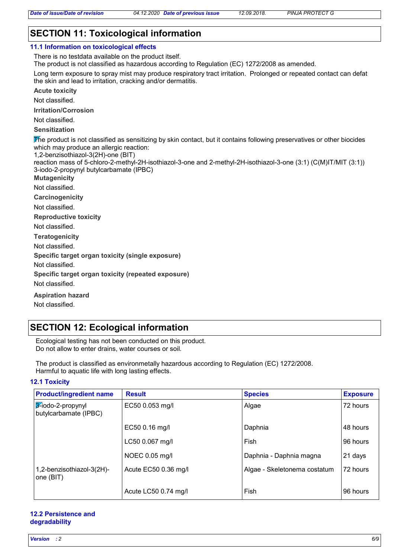## **SECTION 11: Toxicological information**

### **11.1 Information on toxicological effects**

There is no testdata available on the product itself.

The product is not classified as hazardous according to Regulation (EC) 1272/2008 as amended.

Long term exposure to spray mist may produce respiratory tract irritation. Prolonged or repeated contact can defat the skin and lead to irritation, cracking and/or dermatitis.

**Acute toxicity**

Not classified.

**Irritation/Corrosion**

Not classified.

**Sensitization**

The product is not classified as sensitizing by skin contact, but it contains following preservatives or other biocides which may produce an allergic reaction:

1,2-benzisothiazol-3(2H)-one (BIT)

reaction mass of 5-chloro-2-methyl-2H-isothiazol-3-one and 2-methyl-2H-isothiazol-3-one (3:1) (C(M)IT/MIT (3:1)) 3-iodo-2-propynyl butylcarbamate (IPBC)

**Mutagenicity**

Not classified.

**Carcinogenicity**

Not classified.

**Reproductive toxicity**

Not classified.

**Teratogenicity**

Not classified.

**Specific target organ toxicity (single exposure)**

Not classified.

**Specific target organ toxicity (repeated exposure)**

Not classified.

**Aspiration hazard**

Not classified.

## **SECTION 12: Ecological information**

Ecological testing has not been conducted on this product. Do not allow to enter drains, water courses or soil.

The product is classified as environmetally hazardous according to Regulation (EC) 1272/2008. Harmful to aquatic life with long lasting effects.

#### **12.1 Toxicity**

| <b>Product/ingredient name</b>             | <b>Result</b>        | <b>Species</b>               | <b>Exposure</b> |
|--------------------------------------------|----------------------|------------------------------|-----------------|
| 3-iodo-2-propynyl<br>butylcarbamate (IPBC) | EC50 0.053 mg/l      | Algae                        | 72 hours        |
|                                            | EC50 0.16 mg/l       | Daphnia                      | 48 hours        |
|                                            | LC50 0.067 mg/l      | Fish                         | 96 hours        |
|                                            | NOEC 0.05 mg/l       | Daphnia - Daphnia magna      | 21 days         |
| 1,2-benzisothiazol-3(2H)-<br>one (BIT)     | Acute EC50 0.36 mg/l | Algae - Skeletonema costatum | 72 hours        |
|                                            | Acute LC50 0.74 mg/l | Fish                         | 96 hours        |

#### **12.2 Persistence and degradability**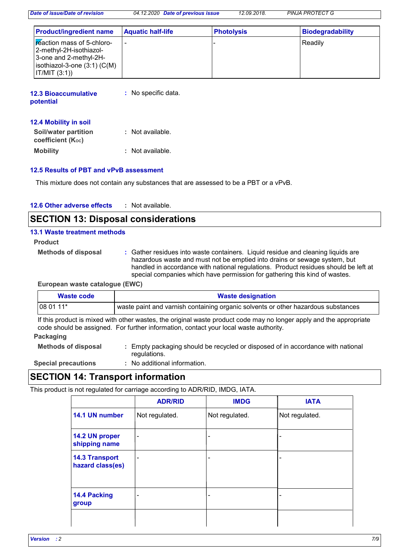*Date of issue/Date of revision 04.12.2020 Date of previous issue 12.09.2018. PINJA PROTECT G*

| <b>Product/ingredient name</b>                                                                                                            | <b>Aquatic half-life</b> | <b>Photolysis</b> | <b>Biodegradability</b> |
|-------------------------------------------------------------------------------------------------------------------------------------------|--------------------------|-------------------|-------------------------|
| <b>Exercise</b> mass of 5-chloro-<br> 2-methyl-2H-isothiazol-<br>3-one and 2-methyl-2H-<br>$ isothiazol-3-one(3:1)(C(M)) $<br>IT/MIT(3:1) | $\overline{\phantom{a}}$ |                   | Readily                 |

| <b>12.3 Bioaccumulative</b><br>potential | : No specific data. |
|------------------------------------------|---------------------|
| <b>12.4 Mobility in soil</b>             |                     |

| Soil/water partition<br>coefficient $(K_{oc})$ | : Not available. |
|------------------------------------------------|------------------|
| <b>Mobility</b>                                | : Not available. |

#### **12.5 Results of PBT and vPvB assessment**

This mixture does not contain any substances that are assessed to be a PBT or a vPvB.

| <b>12.6 Other adverse effects</b> | Not available. |
|-----------------------------------|----------------|
|-----------------------------------|----------------|

## **SECTION 13: Disposal considerations**

#### **13.1 Waste treatment methods**

**Product**

**Methods of disposal :**

Gather residues into waste containers. Liquid residue and cleaning liquids are hazardous waste and must not be emptied into drains or sewage system, but handled in accordance with national regulations. Product residues should be left at special companies which have permission for gathering this kind of wastes.

**European waste catalogue (EWC)**

| <b>Waste designation</b><br>Waste code                                                                                                                                                                       |                                                                                   |  |  |
|--------------------------------------------------------------------------------------------------------------------------------------------------------------------------------------------------------------|-----------------------------------------------------------------------------------|--|--|
| $1080111*$                                                                                                                                                                                                   | waste paint and varnish containing organic solvents or other hazardous substances |  |  |
| If this product is mixed with other wastes, the original waste product code may no longer apply and the appropriate<br>code should be assigned. For further information, contact your local waste authority. |                                                                                   |  |  |

#### **Packaging**

**Methods of disposal :** Empty packaging should be recycled or disposed of in accordance with national regulations. No additional information.

# **Special precautions :**

## **SECTION 14: Transport information**

This product is not regulated for carriage according to ADR/RID, IMDG, IATA.

|                                           | <b>ADR/RID</b>               | <b>IMDG</b>              | <b>IATA</b>    |
|-------------------------------------------|------------------------------|--------------------------|----------------|
| 14.1 UN number                            | Not regulated.               | Not regulated.           | Not regulated. |
| 14.2 UN proper<br>shipping name           | $\qquad \qquad \blacksquare$ | $\overline{\phantom{0}}$ |                |
| <b>14.3 Transport</b><br>hazard class(es) | $\overline{\phantom{0}}$     | $\overline{\phantom{0}}$ |                |
| 14.4 Packing<br>group                     |                              |                          |                |
|                                           |                              |                          |                |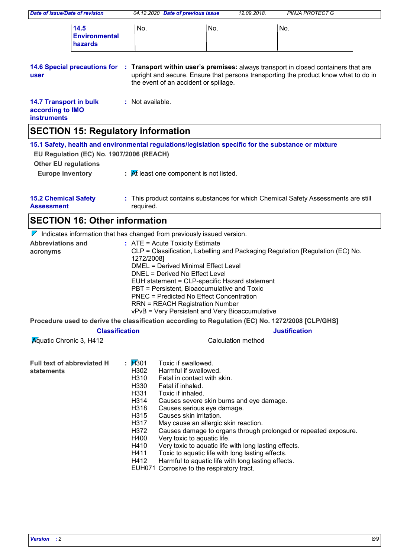| Date of issue/Date of revision                                                                                                                                                                                                                                                                                                                                                                                                                                                                           |                                                                                                                   | 04.12.2020 Date of previous issue                                                                                                                                                                                                                                                                                                                                                                                                                         |                    | 12.09.2018.<br><b>PINJA PROTECT G</b>                                                                                                                                     |  |
|----------------------------------------------------------------------------------------------------------------------------------------------------------------------------------------------------------------------------------------------------------------------------------------------------------------------------------------------------------------------------------------------------------------------------------------------------------------------------------------------------------|-------------------------------------------------------------------------------------------------------------------|-----------------------------------------------------------------------------------------------------------------------------------------------------------------------------------------------------------------------------------------------------------------------------------------------------------------------------------------------------------------------------------------------------------------------------------------------------------|--------------------|---------------------------------------------------------------------------------------------------------------------------------------------------------------------------|--|
| 14.5<br><b>Environmental</b><br>hazards                                                                                                                                                                                                                                                                                                                                                                                                                                                                  | No.                                                                                                               |                                                                                                                                                                                                                                                                                                                                                                                                                                                           | No.                | No.                                                                                                                                                                       |  |
| <b>14.6 Special precautions for</b><br>user                                                                                                                                                                                                                                                                                                                                                                                                                                                              |                                                                                                                   | the event of an accident or spillage.                                                                                                                                                                                                                                                                                                                                                                                                                     |                    | : Transport within user's premises: always transport in closed containers that are<br>upright and secure. Ensure that persons transporting the product know what to do in |  |
| <b>14.7 Transport in bulk</b><br>according to IMO<br><b>instruments</b>                                                                                                                                                                                                                                                                                                                                                                                                                                  | : Not available.                                                                                                  |                                                                                                                                                                                                                                                                                                                                                                                                                                                           |                    |                                                                                                                                                                           |  |
| <b>SECTION 15: Regulatory information</b>                                                                                                                                                                                                                                                                                                                                                                                                                                                                |                                                                                                                   |                                                                                                                                                                                                                                                                                                                                                                                                                                                           |                    |                                                                                                                                                                           |  |
| 15.1 Safety, health and environmental regulations/legislation specific for the substance or mixture<br>EU Regulation (EC) No. 1907/2006 (REACH)<br><b>Other EU regulations</b><br><b>Europe inventory</b>                                                                                                                                                                                                                                                                                                |                                                                                                                   | $\mathcal{A}$ R least one component is not listed.                                                                                                                                                                                                                                                                                                                                                                                                        |                    |                                                                                                                                                                           |  |
| <b>15.2 Chemical Safety</b><br><b>Assessment</b>                                                                                                                                                                                                                                                                                                                                                                                                                                                         | required.                                                                                                         |                                                                                                                                                                                                                                                                                                                                                                                                                                                           |                    | : This product contains substances for which Chemical Safety Assessments are still                                                                                        |  |
| <b>SECTION 16: Other information</b>                                                                                                                                                                                                                                                                                                                                                                                                                                                                     |                                                                                                                   |                                                                                                                                                                                                                                                                                                                                                                                                                                                           |                    |                                                                                                                                                                           |  |
| $\nabla$ Indicates information that has changed from previously issued version.                                                                                                                                                                                                                                                                                                                                                                                                                          |                                                                                                                   |                                                                                                                                                                                                                                                                                                                                                                                                                                                           |                    |                                                                                                                                                                           |  |
| <b>Abbreviations and</b><br>$:$ ATE = Acute Toxicity Estimate<br>CLP = Classification, Labelling and Packaging Regulation [Regulation (EC) No.<br>acronyms<br>1272/2008]<br><b>DMEL = Derived Minimal Effect Level</b><br>DNEL = Derived No Effect Level<br>EUH statement = CLP-specific Hazard statement<br>PBT = Persistent, Bioaccumulative and Toxic<br><b>PNEC = Predicted No Effect Concentration</b><br><b>RRN = REACH Registration Number</b><br>vPvB = Very Persistent and Very Bioaccumulative |                                                                                                                   |                                                                                                                                                                                                                                                                                                                                                                                                                                                           |                    |                                                                                                                                                                           |  |
| Procedure used to derive the classification according to Regulation (EC) No. 1272/2008 [CLP/GHS]                                                                                                                                                                                                                                                                                                                                                                                                         |                                                                                                                   |                                                                                                                                                                                                                                                                                                                                                                                                                                                           |                    |                                                                                                                                                                           |  |
|                                                                                                                                                                                                                                                                                                                                                                                                                                                                                                          | <b>Classification</b>                                                                                             |                                                                                                                                                                                                                                                                                                                                                                                                                                                           |                    | <b>Justification</b>                                                                                                                                                      |  |
| <b>Aguatic Chronic 3, H412</b>                                                                                                                                                                                                                                                                                                                                                                                                                                                                           |                                                                                                                   |                                                                                                                                                                                                                                                                                                                                                                                                                                                           | Calculation method |                                                                                                                                                                           |  |
| <b>Full text of abbreviated H</b><br><b>statements</b>                                                                                                                                                                                                                                                                                                                                                                                                                                                   | : $1/301$<br>H302<br>H310<br>H330<br>H331<br>H314<br>H318<br>H315<br>H317<br>H372<br>H400<br>H410<br>H411<br>H412 | Toxic if swallowed.<br>Harmful if swallowed.<br>Fatal in contact with skin.<br>Fatal if inhaled.<br>Toxic if inhaled.<br>Causes severe skin burns and eye damage.<br>Causes serious eye damage.<br>Causes skin irritation.<br>May cause an allergic skin reaction.<br>Very toxic to aquatic life.<br>Toxic to aquatic life with long lasting effects.<br>Harmful to aquatic life with long lasting effects.<br>EUH071 Corrosive to the respiratory tract. |                    | Causes damage to organs through prolonged or repeated exposure.<br>Very toxic to aquatic life with long lasting effects.                                                  |  |